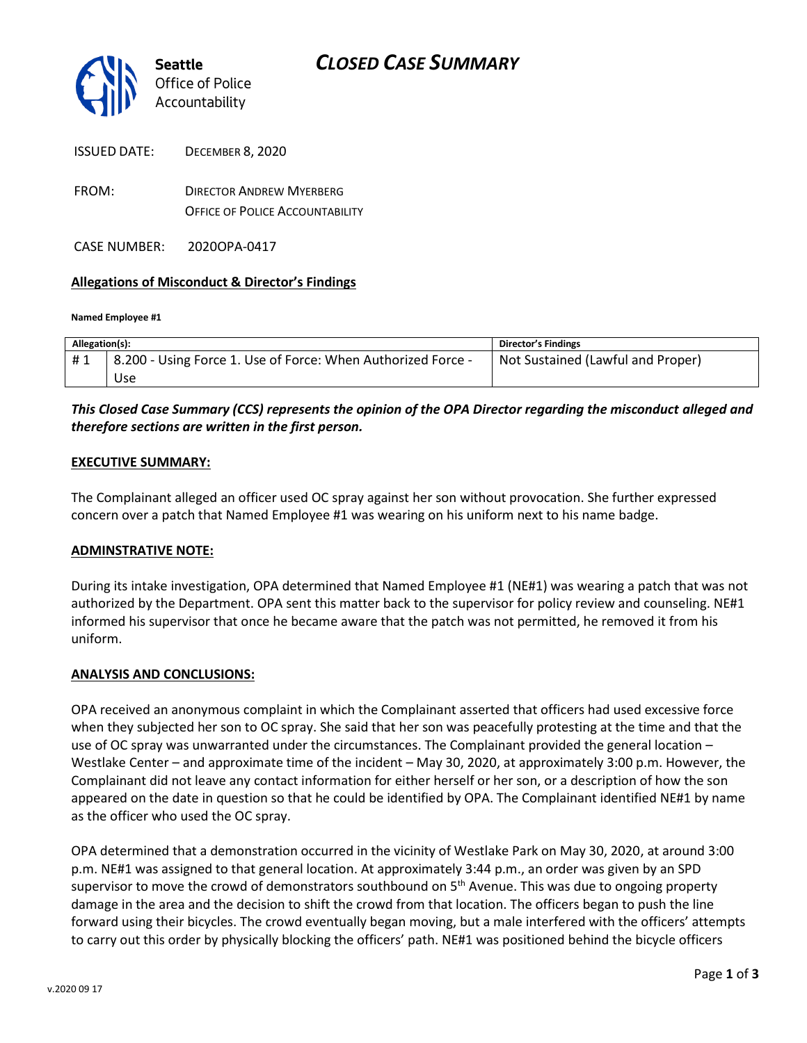

| <b>ISSUED DATE:</b> | <b>DECEMBER 8, 2020</b> |
|---------------------|-------------------------|
|                     |                         |

FROM: DIRECTOR ANDREW MYERBERG OFFICE OF POLICE ACCOUNTABILITY

CASE NUMBER: 2020OPA-0417

### **Allegations of Misconduct & Director's Findings**

**Named Employee #1**

| Allegation(s): |                                                                           | Director's Findings               |
|----------------|---------------------------------------------------------------------------|-----------------------------------|
| #1             | <sup>1</sup> 8.200 - Using Force 1. Use of Force: When Authorized Force - | Not Sustained (Lawful and Proper) |
|                | Use                                                                       |                                   |

### *This Closed Case Summary (CCS) represents the opinion of the OPA Director regarding the misconduct alleged and therefore sections are written in the first person.*

#### **EXECUTIVE SUMMARY:**

The Complainant alleged an officer used OC spray against her son without provocation. She further expressed concern over a patch that Named Employee #1 was wearing on his uniform next to his name badge.

#### **ADMINSTRATIVE NOTE:**

During its intake investigation, OPA determined that Named Employee #1 (NE#1) was wearing a patch that was not authorized by the Department. OPA sent this matter back to the supervisor for policy review and counseling. NE#1 informed his supervisor that once he became aware that the patch was not permitted, he removed it from his uniform.

#### **ANALYSIS AND CONCLUSIONS:**

OPA received an anonymous complaint in which the Complainant asserted that officers had used excessive force when they subjected her son to OC spray. She said that her son was peacefully protesting at the time and that the use of OC spray was unwarranted under the circumstances. The Complainant provided the general location – Westlake Center – and approximate time of the incident – May 30, 2020, at approximately 3:00 p.m. However, the Complainant did not leave any contact information for either herself or her son, or a description of how the son appeared on the date in question so that he could be identified by OPA. The Complainant identified NE#1 by name as the officer who used the OC spray.

OPA determined that a demonstration occurred in the vicinity of Westlake Park on May 30, 2020, at around 3:00 p.m. NE#1 was assigned to that general location. At approximately 3:44 p.m., an order was given by an SPD supervisor to move the crowd of demonstrators southbound on  $5<sup>th</sup>$  Avenue. This was due to ongoing property damage in the area and the decision to shift the crowd from that location. The officers began to push the line forward using their bicycles. The crowd eventually began moving, but a male interfered with the officers' attempts to carry out this order by physically blocking the officers' path. NE#1 was positioned behind the bicycle officers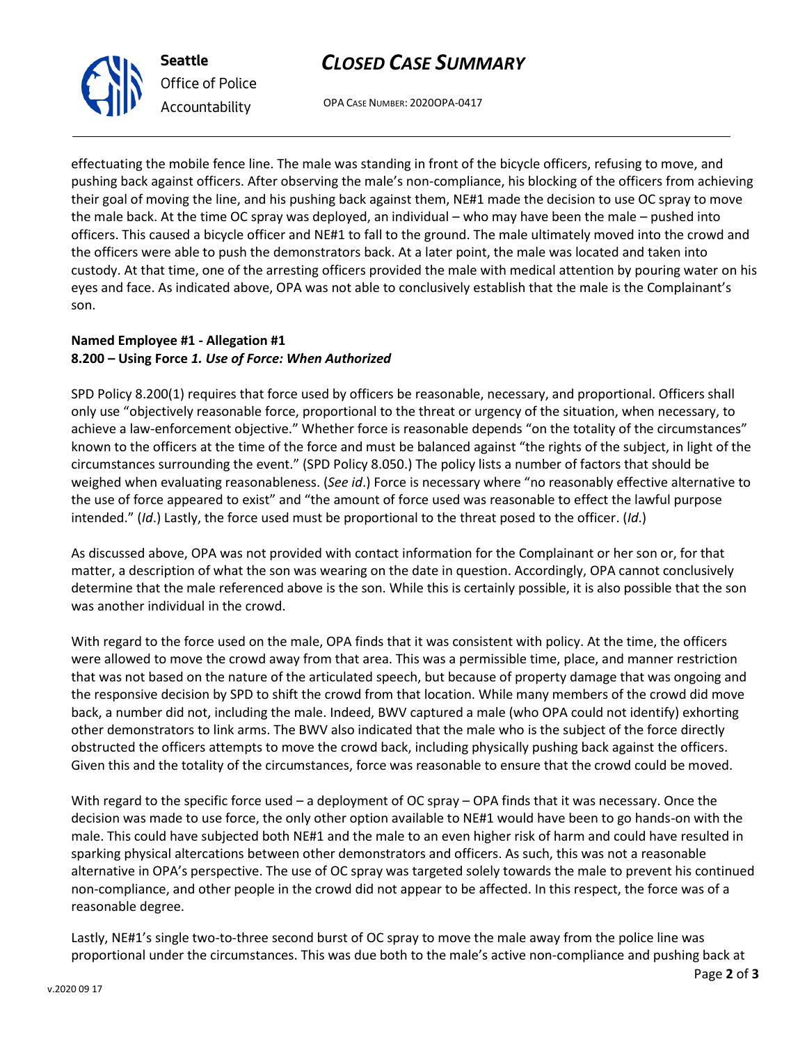# *CLOSED CASE SUMMARY*



*Office of Police Accountability*

OPA CASE NUMBER: 2020OPA-0417

effectuating the mobile fence line. The male was standing in front of the bicycle officers, refusing to move, and pushing back against officers. After observing the male's non-compliance, his blocking of the officers from achieving their goal of moving the line, and his pushing back against them, NE#1 made the decision to use OC spray to move the male back. At the time OC spray was deployed, an individual – who may have been the male – pushed into officers. This caused a bicycle officer and NE#1 to fall to the ground. The male ultimately moved into the crowd and the officers were able to push the demonstrators back. At a later point, the male was located and taken into custody. At that time, one of the arresting officers provided the male with medical attention by pouring water on his eyes and face. As indicated above, OPA was not able to conclusively establish that the male is the Complainant's son.

## **Named Employee #1 - Allegation #1 8.200 – Using Force** *1. Use of Force: When Authorized*

SPD Policy 8.200(1) requires that force used by officers be reasonable, necessary, and proportional. Officers shall only use "objectively reasonable force, proportional to the threat or urgency of the situation, when necessary, to achieve a law-enforcement objective." Whether force is reasonable depends "on the totality of the circumstances" known to the officers at the time of the force and must be balanced against "the rights of the subject, in light of the circumstances surrounding the event." (SPD Policy 8.050.) The policy lists a number of factors that should be weighed when evaluating reasonableness. (*See id*.) Force is necessary where "no reasonably effective alternative to the use of force appeared to exist" and "the amount of force used was reasonable to effect the lawful purpose intended." (*Id*.) Lastly, the force used must be proportional to the threat posed to the officer. (*Id*.)

As discussed above, OPA was not provided with contact information for the Complainant or her son or, for that matter, a description of what the son was wearing on the date in question. Accordingly, OPA cannot conclusively determine that the male referenced above is the son. While this is certainly possible, it is also possible that the son was another individual in the crowd.

With regard to the force used on the male, OPA finds that it was consistent with policy. At the time, the officers were allowed to move the crowd away from that area. This was a permissible time, place, and manner restriction that was not based on the nature of the articulated speech, but because of property damage that was ongoing and the responsive decision by SPD to shift the crowd from that location. While many members of the crowd did move back, a number did not, including the male. Indeed, BWV captured a male (who OPA could not identify) exhorting other demonstrators to link arms. The BWV also indicated that the male who is the subject of the force directly obstructed the officers attempts to move the crowd back, including physically pushing back against the officers. Given this and the totality of the circumstances, force was reasonable to ensure that the crowd could be moved.

With regard to the specific force used – a deployment of OC spray – OPA finds that it was necessary. Once the decision was made to use force, the only other option available to NE#1 would have been to go hands-on with the male. This could have subjected both NE#1 and the male to an even higher risk of harm and could have resulted in sparking physical altercations between other demonstrators and officers. As such, this was not a reasonable alternative in OPA's perspective. The use of OC spray was targeted solely towards the male to prevent his continued non-compliance, and other people in the crowd did not appear to be affected. In this respect, the force was of a reasonable degree.

Lastly, NE#1's single two-to-three second burst of OC spray to move the male away from the police line was proportional under the circumstances. This was due both to the male's active non-compliance and pushing back at